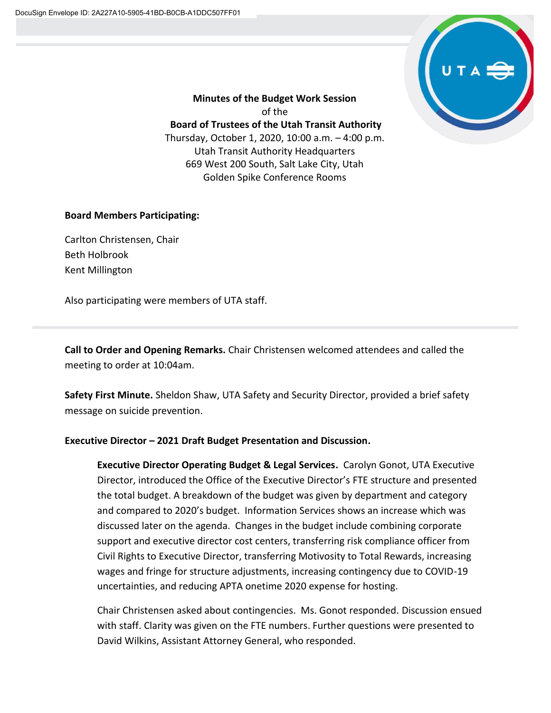

**Minutes of the Budget Work Session** of the **Board of Trustees of the Utah Transit Authority** Thursday, October 1, 2020, 10:00 a.m. – 4:00 p.m. Utah Transit Authority Headquarters 669 West 200 South, Salt Lake City, Utah Golden Spike Conference Rooms

## **Board Members Participating:**

Carlton Christensen, Chair Beth Holbrook Kent Millington

Also participating were members of UTA staff.

**Call to Order and Opening Remarks.** Chair Christensen welcomed attendees and called the meeting to order at 10:04am.

**Safety First Minute.** Sheldon Shaw, UTA Safety and Security Director, provided a brief safety message on suicide prevention.

## **Executive Director – 2021 Draft Budget Presentation and Discussion.**

**Executive Director Operating Budget & Legal Services.** Carolyn Gonot, UTA Executive Director, introduced the Office of the Executive Director's FTE structure and presented the total budget. A breakdown of the budget was given by department and category and compared to 2020's budget. Information Services shows an increase which was discussed later on the agenda. Changes in the budget include combining corporate support and executive director cost centers, transferring risk compliance officer from Civil Rights to Executive Director, transferring Motivosity to Total Rewards, increasing wages and fringe for structure adjustments, increasing contingency due to COVID-19 uncertainties, and reducing APTA onetime 2020 expense for hosting.

Chair Christensen asked about contingencies. Ms. Gonot responded. Discussion ensued with staff. Clarity was given on the FTE numbers. Further questions were presented to David Wilkins, Assistant Attorney General, who responded.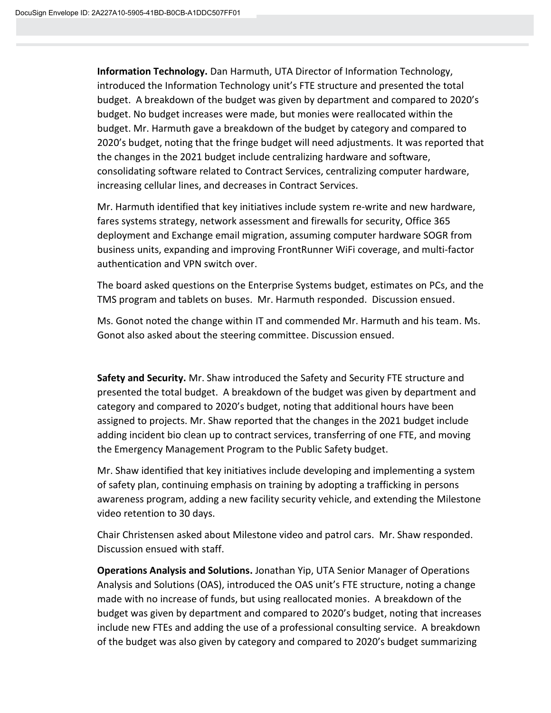**Information Technology.** Dan Harmuth, UTA Director of Information Technology, introduced the Information Technology unit's FTE structure and presented the total budget. A breakdown of the budget was given by department and compared to 2020's budget. No budget increases were made, but monies were reallocated within the budget. Mr. Harmuth gave a breakdown of the budget by category and compared to 2020's budget, noting that the fringe budget will need adjustments. It was reported that the changes in the 2021 budget include centralizing hardware and software, consolidating software related to Contract Services, centralizing computer hardware, increasing cellular lines, and decreases in Contract Services.

Mr. Harmuth identified that key initiatives include system re-write and new hardware, fares systems strategy, network assessment and firewalls for security, Office 365 deployment and Exchange email migration, assuming computer hardware SOGR from business units, expanding and improving FrontRunner WiFi coverage, and multi-factor authentication and VPN switch over.

The board asked questions on the Enterprise Systems budget, estimates on PCs, and the TMS program and tablets on buses. Mr. Harmuth responded. Discussion ensued.

Ms. Gonot noted the change within IT and commended Mr. Harmuth and his team. Ms. Gonot also asked about the steering committee. Discussion ensued.

**Safety and Security.** Mr. Shaw introduced the Safety and Security FTE structure and presented the total budget. A breakdown of the budget was given by department and category and compared to 2020's budget, noting that additional hours have been assigned to projects. Mr. Shaw reported that the changes in the 2021 budget include adding incident bio clean up to contract services, transferring of one FTE, and moving the Emergency Management Program to the Public Safety budget.

Mr. Shaw identified that key initiatives include developing and implementing a system of safety plan, continuing emphasis on training by adopting a trafficking in persons awareness program, adding a new facility security vehicle, and extending the Milestone video retention to 30 days.

Chair Christensen asked about Milestone video and patrol cars. Mr. Shaw responded. Discussion ensued with staff.

**Operations Analysis and Solutions.** Jonathan Yip, UTA Senior Manager of Operations Analysis and Solutions (OAS), introduced the OAS unit's FTE structure, noting a change made with no increase of funds, but using reallocated monies. A breakdown of the budget was given by department and compared to 2020's budget, noting that increases include new FTEs and adding the use of a professional consulting service. A breakdown of the budget was also given by category and compared to 2020's budget summarizing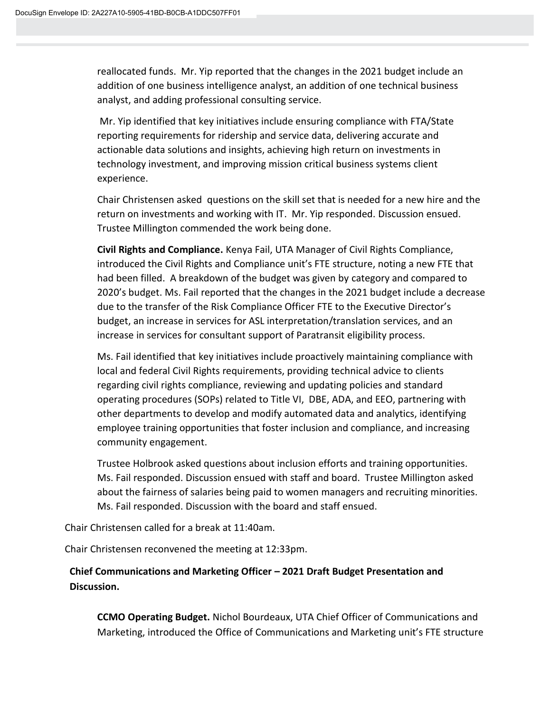reallocated funds. Mr. Yip reported that the changes in the 2021 budget include an addition of one business intelligence analyst, an addition of one technical business analyst, and adding professional consulting service.

Mr. Yip identified that key initiatives include ensuring compliance with FTA/State reporting requirements for ridership and service data, delivering accurate and actionable data solutions and insights, achieving high return on investments in technology investment, and improving mission critical business systems client experience.

Chair Christensen asked questions on the skill set that is needed for a new hire and the return on investments and working with IT. Mr. Yip responded. Discussion ensued. Trustee Millington commended the work being done.

**Civil Rights and Compliance.** Kenya Fail, UTA Manager of Civil Rights Compliance, introduced the Civil Rights and Compliance unit's FTE structure, noting a new FTE that had been filled. A breakdown of the budget was given by category and compared to 2020's budget. Ms. Fail reported that the changes in the 2021 budget include a decrease due to the transfer of the Risk Compliance Officer FTE to the Executive Director's budget, an increase in services for ASL interpretation/translation services, and an increase in services for consultant support of Paratransit eligibility process.

Ms. Fail identified that key initiatives include proactively maintaining compliance with local and federal Civil Rights requirements, providing technical advice to clients regarding civil rights compliance, reviewing and updating policies and standard operating procedures (SOPs) related to Title VI, DBE, ADA, and EEO, partnering with other departments to develop and modify automated data and analytics, identifying employee training opportunities that foster inclusion and compliance, and increasing community engagement.

Trustee Holbrook asked questions about inclusion efforts and training opportunities. Ms. Fail responded. Discussion ensued with staff and board. Trustee Millington asked about the fairness of salaries being paid to women managers and recruiting minorities. Ms. Fail responded. Discussion with the board and staff ensued.

Chair Christensen called for a break at 11:40am.

Chair Christensen reconvened the meeting at 12:33pm.

## **Chief Communications and Marketing Officer – 2021 Draft Budget Presentation and Discussion.**

**CCMO Operating Budget.** Nichol Bourdeaux, UTA Chief Officer of Communications and Marketing, introduced the Office of Communications and Marketing unit's FTE structure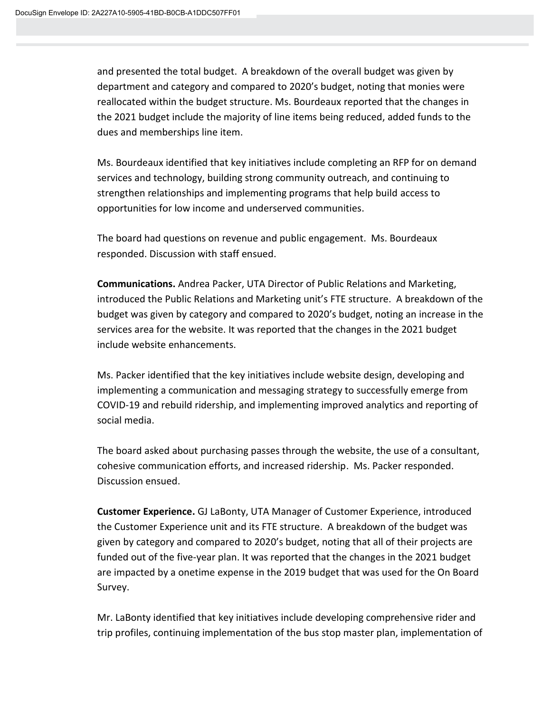and presented the total budget. A breakdown of the overall budget was given by department and category and compared to 2020's budget, noting that monies were reallocated within the budget structure. Ms. Bourdeaux reported that the changes in the 2021 budget include the majority of line items being reduced, added funds to the dues and memberships line item.

Ms. Bourdeaux identified that key initiatives include completing an RFP for on demand services and technology, building strong community outreach, and continuing to strengthen relationships and implementing programs that help build access to opportunities for low income and underserved communities.

The board had questions on revenue and public engagement. Ms. Bourdeaux responded. Discussion with staff ensued.

**Communications.** Andrea Packer, UTA Director of Public Relations and Marketing, introduced the Public Relations and Marketing unit's FTE structure. A breakdown of the budget was given by category and compared to 2020's budget, noting an increase in the services area for the website. It was reported that the changes in the 2021 budget include website enhancements.

Ms. Packer identified that the key initiatives include website design, developing and implementing a communication and messaging strategy to successfully emerge from COVID-19 and rebuild ridership, and implementing improved analytics and reporting of social media.

The board asked about purchasing passes through the website, the use of a consultant, cohesive communication efforts, and increased ridership. Ms. Packer responded. Discussion ensued.

**Customer Experience.** GJ LaBonty, UTA Manager of Customer Experience, introduced the Customer Experience unit and its FTE structure. A breakdown of the budget was given by category and compared to 2020's budget, noting that all of their projects are funded out of the five-year plan. It was reported that the changes in the 2021 budget are impacted by a onetime expense in the 2019 budget that was used for the On Board Survey.

Mr. LaBonty identified that key initiatives include developing comprehensive rider and trip profiles, continuing implementation of the bus stop master plan, implementation of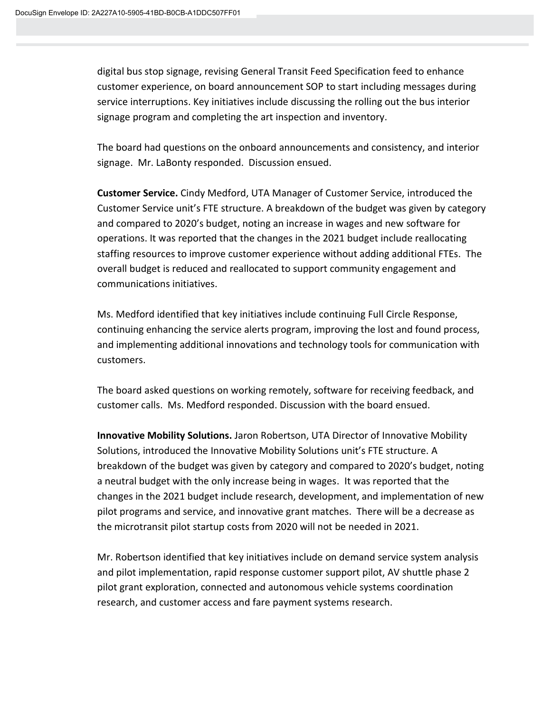digital bus stop signage, revising General Transit Feed Specification feed to enhance customer experience, on board announcement SOP to start including messages during service interruptions. Key initiatives include discussing the rolling out the bus interior signage program and completing the art inspection and inventory.

The board had questions on the onboard announcements and consistency, and interior signage. Mr. LaBonty responded. Discussion ensued.

**Customer Service.** Cindy Medford, UTA Manager of Customer Service, introduced the Customer Service unit's FTE structure. A breakdown of the budget was given by category and compared to 2020's budget, noting an increase in wages and new software for operations. It was reported that the changes in the 2021 budget include reallocating staffing resources to improve customer experience without adding additional FTEs. The overall budget is reduced and reallocated to support community engagement and communications initiatives.

Ms. Medford identified that key initiatives include continuing Full Circle Response, continuing enhancing the service alerts program, improving the lost and found process, and implementing additional innovations and technology tools for communication with customers.

The board asked questions on working remotely, software for receiving feedback, and customer calls. Ms. Medford responded. Discussion with the board ensued.

**Innovative Mobility Solutions.** Jaron Robertson, UTA Director of Innovative Mobility Solutions, introduced the Innovative Mobility Solutions unit's FTE structure. A breakdown of the budget was given by category and compared to 2020's budget, noting a neutral budget with the only increase being in wages. It was reported that the changes in the 2021 budget include research, development, and implementation of new pilot programs and service, and innovative grant matches. There will be a decrease as the microtransit pilot startup costs from 2020 will not be needed in 2021.

Mr. Robertson identified that key initiatives include on demand service system analysis and pilot implementation, rapid response customer support pilot, AV shuttle phase 2 pilot grant exploration, connected and autonomous vehicle systems coordination research, and customer access and fare payment systems research.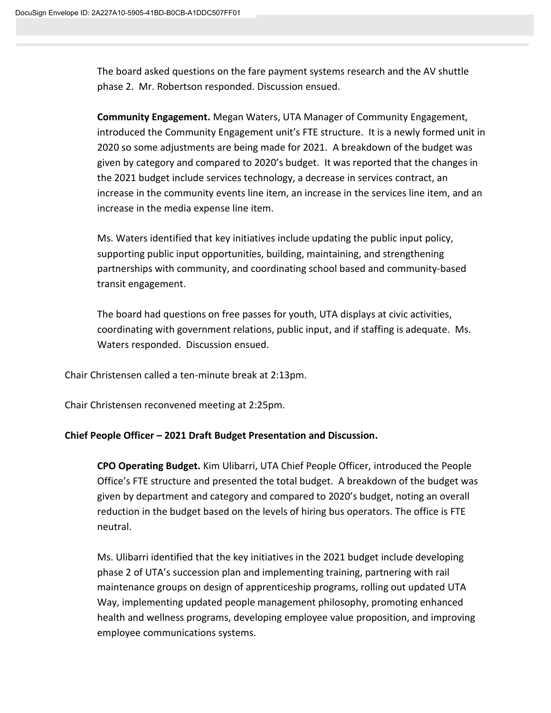The board asked questions on the fare payment systems research and the AV shuttle phase 2. Mr. Robertson responded. Discussion ensued.

**Community Engagement.** Megan Waters, UTA Manager of Community Engagement, introduced the Community Engagement unit's FTE structure. It is a newly formed unit in 2020 so some adjustments are being made for 2021. A breakdown of the budget was given by category and compared to 2020's budget. It was reported that the changes in the 2021 budget include services technology, a decrease in services contract, an increase in the community events line item, an increase in the services line item, and an increase in the media expense line item.

Ms. Waters identified that key initiatives include updating the public input policy, supporting public input opportunities, building, maintaining, and strengthening partnerships with community, and coordinating school based and community-based transit engagement.

The board had questions on free passes for youth, UTA displays at civic activities, coordinating with government relations, public input, and if staffing is adequate. Ms. Waters responded. Discussion ensued.

Chair Christensen called a ten-minute break at 2:13pm.

Chair Christensen reconvened meeting at 2:25pm.

## **Chief People Officer – 2021 Draft Budget Presentation and Discussion.**

**CPO Operating Budget.** Kim Ulibarri, UTA Chief People Officer, introduced the People Office's FTE structure and presented the total budget. A breakdown of the budget was given by department and category and compared to 2020's budget, noting an overall reduction in the budget based on the levels of hiring bus operators. The office is FTE neutral.

Ms. Ulibarri identified that the key initiatives in the 2021 budget include developing phase 2 of UTA's succession plan and implementing training, partnering with rail maintenance groups on design of apprenticeship programs, rolling out updated UTA Way, implementing updated people management philosophy, promoting enhanced health and wellness programs, developing employee value proposition, and improving employee communications systems.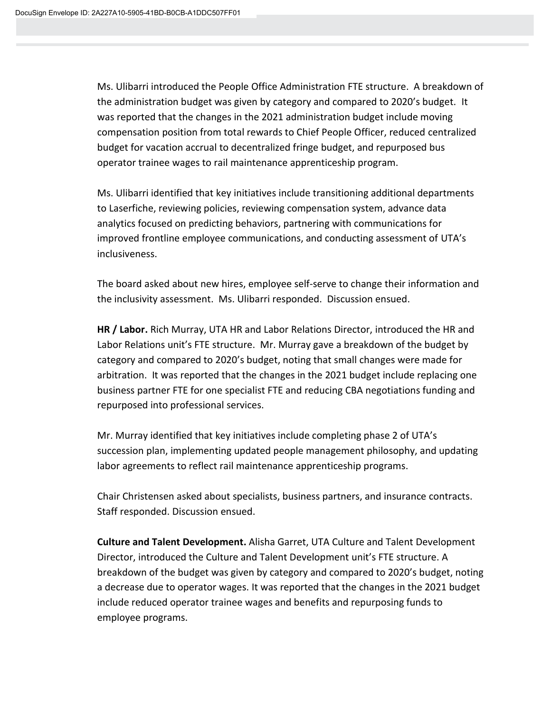Ms. Ulibarri introduced the People Office Administration FTE structure. A breakdown of the administration budget was given by category and compared to 2020's budget. It was reported that the changes in the 2021 administration budget include moving compensation position from total rewards to Chief People Officer, reduced centralized budget for vacation accrual to decentralized fringe budget, and repurposed bus operator trainee wages to rail maintenance apprenticeship program.

Ms. Ulibarri identified that key initiatives include transitioning additional departments to Laserfiche, reviewing policies, reviewing compensation system, advance data analytics focused on predicting behaviors, partnering with communications for improved frontline employee communications, and conducting assessment of UTA's inclusiveness.

The board asked about new hires, employee self-serve to change their information and the inclusivity assessment. Ms. Ulibarri responded. Discussion ensued.

**HR / Labor.** Rich Murray, UTA HR and Labor Relations Director, introduced the HR and Labor Relations unit's FTE structure. Mr. Murray gave a breakdown of the budget by category and compared to 2020's budget, noting that small changes were made for arbitration. It was reported that the changes in the 2021 budget include replacing one business partner FTE for one specialist FTE and reducing CBA negotiations funding and repurposed into professional services.

Mr. Murray identified that key initiatives include completing phase 2 of UTA's succession plan, implementing updated people management philosophy, and updating labor agreements to reflect rail maintenance apprenticeship programs.

Chair Christensen asked about specialists, business partners, and insurance contracts. Staff responded. Discussion ensued.

**Culture and Talent Development.** Alisha Garret, UTA Culture and Talent Development Director, introduced the Culture and Talent Development unit's FTE structure. A breakdown of the budget was given by category and compared to 2020's budget, noting a decrease due to operator wages. It was reported that the changes in the 2021 budget include reduced operator trainee wages and benefits and repurposing funds to employee programs.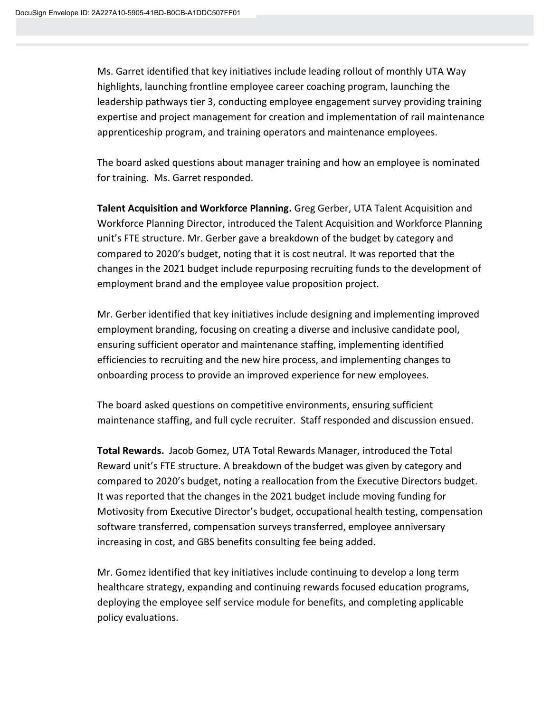Ms. Garret identified that key initiatives include leading rollout of monthly UTA Way highlights, launching frontline employee career coaching program, launching the leadership pathways tier 3, conducting employee engagement survey providing training expertise and project management for creation and implementation of rail maintenance apprenticeship program, and training operators and maintenance employees.

The board asked questions about manager training and how an employee is nominated for training. Ms. Garret responded.

**Talent Acquisition and Workforce Planning.** Greg Gerber, UTA Talent Acquisition and Workforce Planning Director, introduced the Talent Acquisition and Workforce Planning unit's FTE structure. Mr. Gerber gave a breakdown of the budget by category and compared to 2020's budget, noting that it is cost neutral. It was reported that the changes in the 2021 budget include repurposing recruiting funds to the development of employment brand and the employee value proposition project.

Mr. Gerber identified that key initiatives include designing and implementing improved employment branding, focusing on creating a diverse and inclusive candidate pool, ensuring sufficient operator and maintenance staffing, implementing identified efficiencies to recruiting and the new hire process, and implementing changes to onboarding process to provide an improved experience for new employees.

The board asked questions on competitive environments, ensuring sufficient maintenance staffing, and full cycle recruiter. Staff responded and discussion ensued.

**Total Rewards.** Jacob Gomez, UTA Total Rewards Manager, introduced the Total Reward unit's FTE structure. A breakdown of the budget was given by category and compared to 2020's budget, noting a reallocation from the Executive Directors budget. It was reported that the changes in the 2021 budget include moving funding for Motivosity from Executive Director's budget, occupational health testing, compensation software transferred, compensation surveys transferred, employee anniversary increasing in cost, and GBS benefits consulting fee being added.

Mr. Gomez identified that key initiatives include continuing to develop a long term healthcare strategy, expanding and continuing rewards focused education programs, deploying the employee self service module for benefits, and completing applicable policy evaluations.